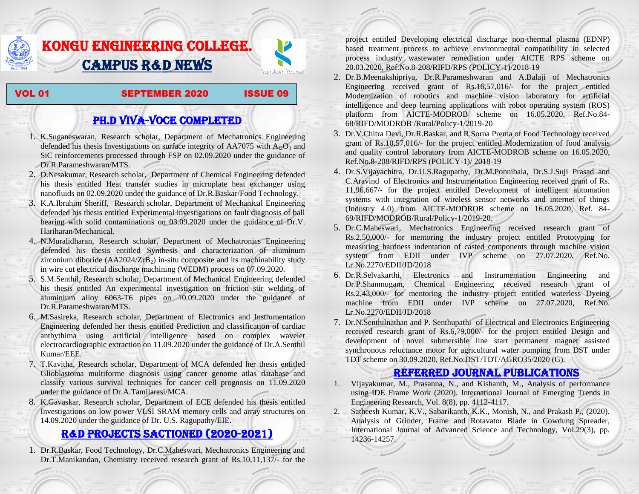# KONGU ENGINEERING COLLEGE. CAMPUS R&D NEWS



#### VOL 01 SEPTEMBER 2020 ISSUE 09

Transform Yourself

## PH.D VIVA-VOCE COMPLETED

- 1. K.Suganeswaran, Research scholar, Department of Mechatronics Engineering defended his thesis Investigations on surface integrity of AA7075 with  $A_2O_3$  and SiC reinforcements processed through FSP on 02.09.2020 under the guidance of Dr.R.Parameshwaran/MTS.
- 2. D.Nesakumar, Research scholar, Department of Chemical Engineering defended his thesis entitled Heat transfer studies in microplate heat exchanger using nanofluids on 02.09.2020 under the guidance of Dr.R.Baskar/Food Technology.
- 3. K.A.Ibrahim Sheriff, Research scholar, Department of Mechanical Engineering defended his thesis entitled Experimental investigations on fault diagnosis of ball bearing with solid contaminations on 03.09.2020 under the guidance of Dr.V. Hariharan/Mechanical.
- 4. N.Muralidharan, Research scholar, Department of Mechatronics Engineering defended his thesis entitled Synthesis and characterization of aluminum zirconium diboride ( $AA2024/ZrB<sub>2</sub>$ ) in-situ composite and its machinability study in wire cut electrical discharge machining (WEDM) process on 07.09.2020.
- 5. S.M.Senthil, Research scholar, Department of Mechanical Engineering defended his thesis entitled An experimental investigation on friction stir welding of aluminium alloy 6063-T6 pipes on 10.09.2020 under the guidance of Dr.R.Parameshwaran/MTS.
- 6. M.Sasireka, Research scholar, Department of Electronics and Instrumentation Engineering defended her thesis entitled Prediction and classification of cardiac anthythima using artificial intelligence based on complex wavelet electrocardiographic extraction on 11.09.2020 under the guidance of Dr.A.Senthil Kumar/EEE.
- 7. T.Kavitha, Research scholar, Department of MCA defended her thesis entitled Glioblastoma multiforme diagnosis using cancer genome atlas database and classify various survival techniques for cancer cell prognosis on 11.09.2020 under the guidance of Dr.A.Tamilarasi/MCA.
- 8. K.Gavaskar, Research scholar, Department of ECE defended his thesis entitled Investigations on low power VLSI SRAM memory cells and array structures on 14.09.2020 under the guidance of Dr. U.S. Ragupathy/EIE.

### R&D PROJECTS SACTIONED (2020-2021)

1. Dr.R.Baskar, Food Technology, Dr.C.Maheswari, Mechatronics Engineering and Dr.T.Manikandan, Chemistry received research grant of Rs.10,11,137/- for the project entitled Developing electrical discharge non-thermal plasma (EDNP) based treatment process to achieve environmental compatibility in selected process industry wastewater remediation under AICTE RPS scheme on 20.03.2020, Ref.No.8-208/RIFD/RPS (POLICY-1)/2018-19

- 2. Dr.B.Meenakshipriya, Dr.R.Parameshwaran and A.Balaji of Mechatronics Engineering received grant of Rs.16,57,016/- for the project entitled Modernization [of robotics and machine vision laboratory for artificial](http://rnd.kongu.edu/ractivities/mts/data/)  [intelligence and deep learning applications with robot operating system \(ROS\)](http://rnd.kongu.edu/ractivities/mts/data/)  [platform](http://rnd.kongu.edu/ractivities/mts/data/) from AICTE-MODROB scheme on 16.05.2020, Ref.No.84- 68/RIFD/MODROB /Rural/Policy-1/2019-20
- 3. Dr.V.Chitra Devi, Dr.R.Baskar, and R.Sorna Prema of Food Technology received grant of Rs.10,57,016/- for the project entitled Modernization of food analysis and quality control laboratory from AICTE-MODROB scheme on 16.05.2020, Ref.No.8-208/RIFD/RPS (POLICY-1)/ 2018-19
- 4. Dr.S.Vijayachitra, Dr.U.S.Ragupathy, Dr.M.Ponnibala, Dr.S.J.Suji Prasad and C.Aravind of Electronics and Instrumentation Engineering received grant of Rs. 11,96,667/- for the project entitled Development of intelligent automation systems with integration of wireless sensor networks and internet of things (Industry 4.0) from AICTE-MODROB scheme on 16.05.2020, Ref. 84- 69/RIFD/MODROB/Rural/Policy-1/2019-20.
- 5. Dr.C.Maheswari, Mechatronics Engineering received research grant of Rs.2,50,000/- for mentoring the industry project entitled [Prototyping for](http://rnd.kongu.edu/ractivities/mts/data/)  [measuring hardness indentation of casted components through machine vision](http://rnd.kongu.edu/ractivities/mts/data/)  [system](http://rnd.kongu.edu/ractivities/mts/data/) from EDII under IVP scheme on 27.07.2020, Ref.No. Lr.No.2270/EDII/JD/2018
- 6. Dr.R.Selvakarthi, Electronics and Instrumentation Engineering and Dr.P.Shanmugam, Chemical Engineering received research grant of Rs.2,43,000/- for mentoring the industry project entitled waterless Dyeing machine from EDII under IVP scheme on 27.07.2020, Ref.No. Lr.No.2270/EDII/JD/2018
- 7. Dr.N.Senthilnathan and P. Senthupathi of Electrical and Electronics Engineering received research grant of Rs.6,79,000/- for the project entitled Design and development of novel submersible line start permanent magnet assisted synchronous reluctance motor for agricultural water pumping from DST under TDT scheme on 30.09.2020, Ref.No.DST/TDT/AGRO35/2020 (G).

### Referred JOURNAL publications

- 1. Vijayakumar, M., Prasanna, N., and Kishanth, M., Analysis of performance using IDE Frame Work (2020). International Journal of Emerging Trends in Engineering Research, Vol. 8(8), pp. 4112-4117.
- Satheesh Kumar, K.V., Sabarikanth, K.K., Monish, N., and Prakash P., (2020). Analysis of Grinder, Frame and Rotavator Blade in Cowdung Spreader, International Journal of Advanced Science and Technology, Vol.29(3), pp. 14236-14257.